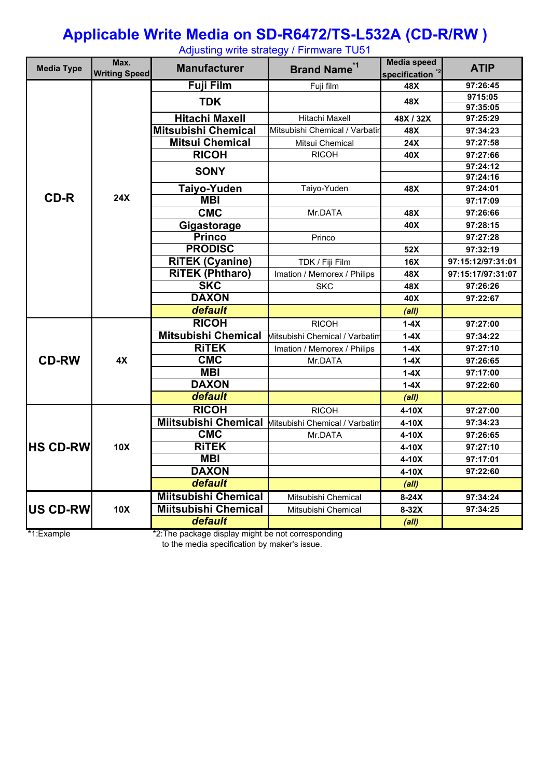#### **Applicable Write Media on SD-R6472/TS-L532A (CD-R/RW )**

Adjusting write strategy / Firmware TU51

| <b>Media Type</b> | Max.<br><b>Writing Speed</b> | <b>Manufacturer</b>         | <b>Brand Name<sup>*1</sup></b>                      | <b>Media speed</b><br>specification <sup>*2</sup> | <b>ATIP</b>          |
|-------------------|------------------------------|-----------------------------|-----------------------------------------------------|---------------------------------------------------|----------------------|
|                   |                              | <b>Fuji Film</b>            | Fuji film                                           | 48X                                               | 97:26:45             |
|                   |                              | <b>TDK</b>                  |                                                     | 48X                                               | 9715:05              |
|                   |                              |                             |                                                     |                                                   | 97:35:05             |
|                   |                              | <b>Hitachi Maxell</b>       | Hitachi Maxell                                      | 48X / 32X                                         | 97:25:29             |
|                   |                              | <b>Mitsubishi Chemical</b>  | Mitsubishi Chemical / Varbatir                      | 48X                                               | 97:34:23             |
|                   |                              | <b>Mitsui Chemical</b>      | Mitsui Chemical                                     | 24X                                               | 97:27:58             |
|                   |                              | <b>RICOH</b>                | <b>RICOH</b>                                        | 40X                                               | 97:27:66             |
|                   |                              | <b>SONY</b>                 |                                                     |                                                   | 97:24:12<br>97:24:16 |
|                   |                              | <b>Taiyo-Yuden</b>          | Taiyo-Yuden                                         | 48X                                               | 97:24:01             |
| <b>CD-R</b>       | 24X                          | <b>MBI</b>                  |                                                     |                                                   | 97:17:09             |
|                   |                              | <b>CMC</b>                  | Mr.DATA                                             | 48X                                               | 97:26:66             |
|                   |                              | Gigastorage                 |                                                     | 40X                                               | 97:28:15             |
|                   |                              | <b>Princo</b>               | Princo                                              |                                                   | 97:27:28             |
|                   |                              | <b>PRODISC</b>              |                                                     | 52X                                               | 97:32:19             |
|                   |                              | <b>RITEK (Cyanine)</b>      | TDK / Fiji Film                                     | <b>16X</b>                                        | 97:15:12/97:31:01    |
|                   |                              | <b>RITEK (Phtharo)</b>      | Imation / Memorex / Philips                         | 48X                                               | 97:15:17/97:31:07    |
|                   |                              | <b>SKC</b>                  | <b>SKC</b>                                          | 48X                                               | 97:26:26             |
|                   |                              | <b>DAXON</b>                |                                                     | 40X                                               | 97:22:67             |
|                   |                              | default                     |                                                     | (a  )                                             |                      |
|                   | 4X                           | <b>RICOH</b>                | <b>RICOH</b>                                        | $1-4X$                                            | 97:27:00             |
|                   |                              | <b>Mitsubishi Chemical</b>  | Mitsubishi Chemical / Varbatim                      | $1-4X$                                            | 97:34:22             |
|                   |                              | <b>RITEK</b>                | Imation / Memorex / Philips                         | $1-4X$                                            | 97:27:10             |
| <b>CD-RW</b>      |                              | <b>CMC</b>                  | Mr.DATA                                             | $1-4X$                                            | 97:26:65             |
|                   |                              | <b>MBI</b>                  |                                                     | $1-4X$                                            | 97:17:00             |
|                   |                              | <b>DAXON</b>                |                                                     | $1-4X$                                            | 97:22:60             |
|                   |                              | default                     |                                                     | (all)                                             |                      |
|                   | <b>10X</b>                   | <b>RICOH</b>                | <b>RICOH</b>                                        | $4-10X$                                           | 97:27:00             |
|                   |                              |                             | Miitsubishi Chemical Mitsubishi Chemical / Varbatim | $4-10X$                                           | 97:34:23             |
|                   |                              | <b>CMC</b>                  | Mr.DATA                                             | $4-10X$                                           | 97:26:65             |
| <b>HS CD-RW</b>   |                              | <b>RITEK</b>                |                                                     | $4-10X$                                           | 97:27:10             |
|                   |                              | <b>MBI</b>                  |                                                     | $4-10X$                                           | 97:17:01             |
|                   |                              | <b>DAXON</b>                |                                                     | $4-10X$                                           | 97:22:60             |
|                   |                              | default                     |                                                     | (all)                                             |                      |
|                   |                              | <b>Miitsubishi Chemical</b> | Mitsubishi Chemical                                 | $8-24X$                                           | 97:34:24             |
| <b>US CD-RW</b>   | 10X                          | <b>Miitsubishi Chemical</b> | Mitsubishi Chemical                                 | $8-32X$                                           | 97:34:25             |
|                   |                              | default                     |                                                     | (all)                                             |                      |

\*1:Example \*2:The package display might be not corresponding

to the media specification by maker's issue.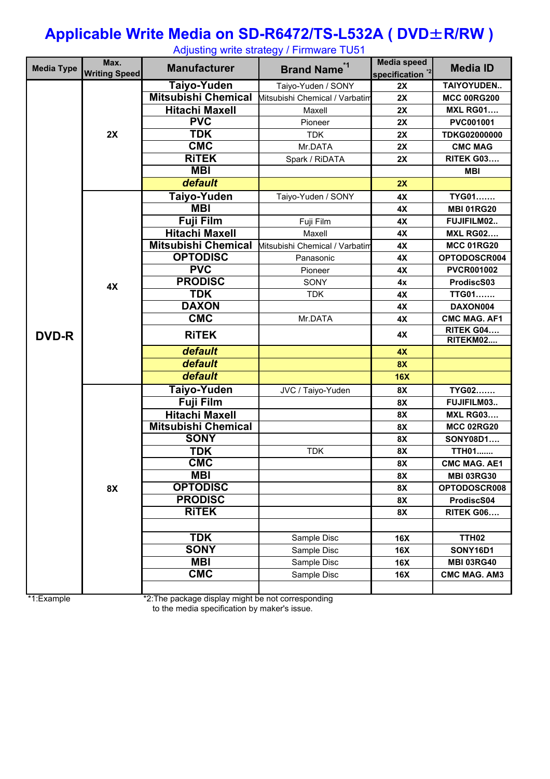## **Applicable Write Media on SD-R6472/TS-L532A ( DVD**±**R/RW )**

| <b>Media Type</b> | Max.<br><b>Writing Speed</b> | <b>Manufacturer</b>        | <b>Brand Name<sup>*1</sup></b> | <b>Media speed</b><br>specification <sup>*2</sup> | <b>Media ID</b>       |  |
|-------------------|------------------------------|----------------------------|--------------------------------|---------------------------------------------------|-----------------------|--|
|                   |                              | Taiyo-Yuden                | Taiyo-Yuden / SONY             | 2X                                                | TAIYOYUDEN            |  |
|                   |                              | <b>Mitsubishi Chemical</b> | Mitsubishi Chemical / Varbatim | 2X                                                | <b>MCC 00RG200</b>    |  |
|                   |                              | <b>Hitachi Maxell</b>      | Maxell                         | 2X                                                | <b>MXL RG01</b>       |  |
|                   |                              | <b>PVC</b>                 | Pioneer                        | 2X                                                | PVC001001             |  |
|                   | 2X                           | <b>TDK</b>                 | <b>TDK</b>                     | 2X                                                | TDKG02000000          |  |
|                   |                              | <b>CMC</b>                 | Mr.DATA                        | 2X                                                | <b>CMC MAG</b>        |  |
|                   |                              | <b>RITEK</b>               | Spark / RiDATA                 | 2X                                                | <b>RITEK G03</b>      |  |
|                   |                              | <b>MBI</b>                 |                                |                                                   | <b>MBI</b>            |  |
|                   |                              | default                    |                                | 2X                                                |                       |  |
|                   |                              | Taiyo-Yuden                | Taiyo-Yuden / SONY             | 4X                                                | TYG01                 |  |
|                   |                              | <b>MBI</b>                 |                                | 4X                                                | <b>MBI 01RG20</b>     |  |
|                   |                              | <b>Fuji Film</b>           | Fuji Film                      | 4X                                                | FUJIFILM02            |  |
|                   |                              | <b>Hitachi Maxell</b>      | Maxell                         | 4X                                                | <b>MXL RG02</b>       |  |
|                   |                              | <b>Mitsubishi Chemical</b> | Mitsubishi Chemical / Varbatim | 4X                                                | <b>MCC 01RG20</b>     |  |
|                   |                              | <b>OPTODISC</b>            | Panasonic                      | 4X                                                | OPTODOSCR004          |  |
|                   |                              | <b>PVC</b>                 | Pioneer                        | 4X                                                | <b>PVCR001002</b>     |  |
|                   | 4X                           | <b>PRODISC</b>             | SONY                           | 4x                                                | ProdiscS03            |  |
|                   |                              | <b>TDK</b>                 | <b>TDK</b>                     | 4X                                                | TTG01                 |  |
|                   |                              | <b>DAXON</b>               |                                | 4X                                                | DAXON004              |  |
| <b>DVD-R</b>      |                              | <b>CMC</b>                 | Mr.DATA                        | 4X                                                | <b>CMC MAG. AF1</b>   |  |
|                   |                              | <b>RITEK</b>               |                                | 4X                                                | RITEK G04<br>RITEKM02 |  |
|                   |                              | default                    |                                | 4X                                                |                       |  |
|                   |                              | default                    |                                | <b>8X</b>                                         |                       |  |
|                   |                              | default                    |                                | <b>16X</b>                                        |                       |  |
|                   |                              | <b>Taiyo-Yuden</b>         | JVC / Taiyo-Yuden              | 8X                                                | TYG02                 |  |
|                   |                              | <b>Fuji Film</b>           |                                | 8X                                                | FUJIFILM03            |  |
|                   |                              | <b>Hitachi Maxell</b>      |                                | 8X                                                | <b>MXL RG03</b>       |  |
|                   |                              | <b>Mitsubishi Chemical</b> |                                | 8X                                                | <b>MCC 02RG20</b>     |  |
|                   |                              | <b>SONY</b>                |                                | 8X                                                | SONY08D1              |  |
|                   |                              | <b>TDK</b>                 | <b>TDK</b>                     | 8X                                                | <b>TTH01</b>          |  |
|                   |                              | <b>CMC</b>                 |                                | 8X                                                | <b>CMC MAG. AE1</b>   |  |
|                   |                              | <b>MBI</b>                 |                                | 8X                                                | <b>MBI 03RG30</b>     |  |
|                   | 8X                           | <b>OPTODISC</b>            |                                | 8X                                                | OPTODOSCR008          |  |
|                   |                              | <b>PRODISC</b>             |                                | 8X                                                | ProdiscS04            |  |
|                   |                              | <b>RITEK</b>               |                                | 8X                                                | RITEK G06             |  |
|                   |                              |                            |                                |                                                   |                       |  |
|                   |                              | <b>TDK</b>                 | Sample Disc                    | 16X                                               | <b>TTH02</b>          |  |
|                   |                              | <b>SONY</b>                | Sample Disc                    | 16X                                               | <b>SONY16D1</b>       |  |
|                   |                              | <b>MBI</b>                 | Sample Disc                    | <b>16X</b>                                        | <b>MBI 03RG40</b>     |  |
|                   |                              | <b>CMC</b>                 | Sample Disc                    | 16X                                               | <b>CMC MAG. AM3</b>   |  |
|                   |                              |                            |                                |                                                   |                       |  |

Adjusting write strategy / Firmware TU51

\*1:Example \*2:The package display might be not corresponding to the media specification by maker's issue.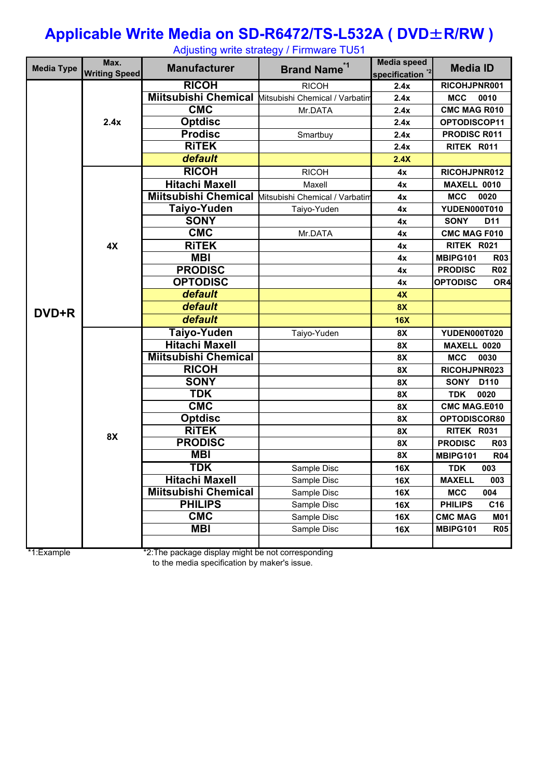## **Applicable Write Media on SD-R6472/TS-L532A ( DVD**±**R/RW )**

| <b>Media Type</b> | Max.<br><b>Writing Speed</b> | <b>Manufacturer</b>         | <b>Brand Name<sup>*1</sup></b> | <b>Media speed</b><br>specification <sup>*2</sup> | <b>Media ID</b>                |  |
|-------------------|------------------------------|-----------------------------|--------------------------------|---------------------------------------------------|--------------------------------|--|
|                   |                              | <b>RICOH</b>                | <b>RICOH</b>                   | 2.4x                                              | RICOHJPNR001                   |  |
|                   |                              | <b>Miitsubishi Chemical</b> | Mitsubishi Chemical / Varbatim | 2.4x                                              | <b>MCC</b><br>0010             |  |
|                   | 2.4x                         | <b>CMC</b>                  | Mr.DATA                        | 2.4x                                              | <b>CMC MAG R010</b>            |  |
|                   |                              | <b>Optdisc</b>              |                                | 2.4x                                              | OPTODISCOP11                   |  |
|                   |                              | <b>Prodisc</b>              | Smartbuy                       | 2.4x                                              | PRODISC R011                   |  |
|                   |                              | <b>RITEK</b>                |                                | 2.4x                                              | RITEK R011                     |  |
|                   |                              | default                     |                                | 2.4X                                              |                                |  |
|                   |                              | <b>RICOH</b>                | <b>RICOH</b>                   | 4x                                                | RICOHJPNR012                   |  |
|                   |                              | <b>Hitachi Maxell</b>       | Maxell                         | 4x                                                | MAXELL 0010                    |  |
|                   |                              | <b>Miitsubishi Chemical</b> | Mitsubishi Chemical / Varbatim | 4x                                                | <b>MCC</b><br>0020             |  |
|                   |                              | Taiyo-Yuden                 | Taiyo-Yuden                    | 4x                                                | YUDEN000T010                   |  |
|                   |                              | <b>SONY</b>                 |                                | 4x                                                | <b>SONY</b><br>D <sub>11</sub> |  |
|                   |                              | <b>CMC</b>                  | Mr.DATA                        | 4x                                                | <b>CMC MAG F010</b>            |  |
|                   | 4X                           | <b>RITEK</b>                |                                | 4x                                                | RITEK R021                     |  |
|                   |                              | <b>MBI</b>                  |                                | 4x                                                | MBIPG101<br><b>R03</b>         |  |
|                   |                              | <b>PRODISC</b>              |                                | 4x                                                | <b>PRODISC</b><br><b>R02</b>   |  |
|                   |                              | <b>OPTODISC</b>             |                                | 4x                                                | <b>OPTODISC</b><br>OR4         |  |
|                   |                              | default                     |                                | 4X                                                |                                |  |
| DVD+R             |                              | default                     |                                | <b>8X</b>                                         |                                |  |
|                   |                              | default                     |                                | 16X                                               |                                |  |
|                   |                              | Taiyo-Yuden                 | Taiyo-Yuden                    | 8X                                                | YUDEN000T020                   |  |
|                   |                              | <b>Hitachi Maxell</b>       |                                | 8X                                                | MAXELL 0020                    |  |
|                   |                              | <b>Miitsubishi Chemical</b> |                                | 8X                                                | <b>MCC</b><br>0030             |  |
|                   |                              | <b>RICOH</b>                |                                | 8X                                                | RICOHJPNR023                   |  |
|                   |                              | <b>SONY</b>                 |                                | 8X                                                | <b>SONY</b><br>D110            |  |
|                   |                              | <b>TDK</b>                  |                                | 8X                                                | 0020<br><b>TDK</b>             |  |
|                   |                              | <b>CMC</b>                  |                                | 8X                                                | <b>CMC MAG.E010</b>            |  |
|                   |                              | <b>Optdisc</b>              |                                | 8X                                                | OPTODISCOR80                   |  |
|                   | <b>8X</b>                    | <b>RITEK</b>                |                                | 8X                                                | RITEK R031                     |  |
|                   |                              | <b>PRODISC</b>              |                                | 8X                                                | <b>PRODISC</b><br><b>R03</b>   |  |
|                   |                              | <b>MBI</b>                  |                                | 8X                                                | MBIPG101<br><b>R04</b>         |  |
|                   |                              | <b>TDK</b>                  | Sample Disc                    | <b>16X</b>                                        | 003<br><b>TDK</b>              |  |
|                   |                              | <b>Hitachi Maxell</b>       | Sample Disc                    | 16X                                               | <b>MAXELL</b><br>003           |  |
|                   |                              | <b>Miitsubishi Chemical</b> | Sample Disc                    | 16X                                               | <b>MCC</b><br>004              |  |
|                   |                              | <b>PHILIPS</b>              | Sample Disc                    | 16X                                               | <b>PHILIPS</b><br>C16          |  |
|                   |                              | <b>CMC</b>                  | Sample Disc                    | 16X                                               | <b>CMC MAG</b><br><b>M01</b>   |  |
|                   |                              | <b>MBI</b>                  | Sample Disc                    | 16X                                               | MBIPG101<br><b>R05</b>         |  |
|                   |                              |                             |                                |                                                   |                                |  |

Adjusting write strategy / Firmware TU51

\*1:Example \*2:The package display might be not corresponding to the media specification by maker's issue.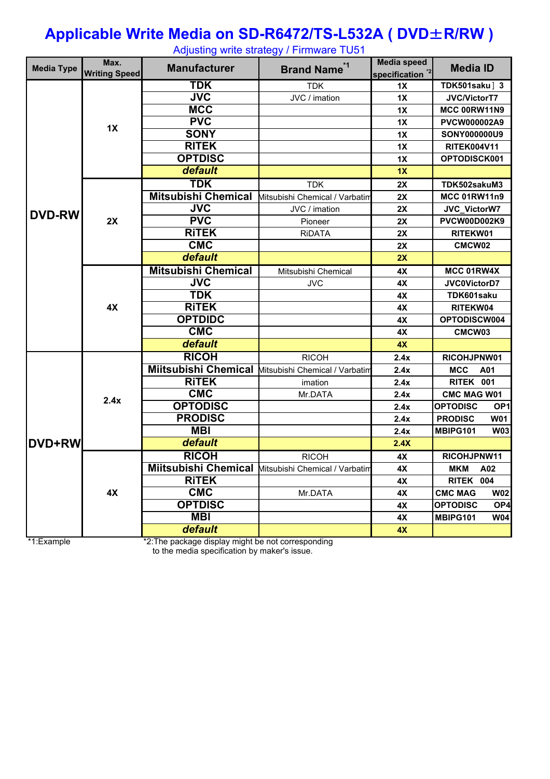#### **Applicable Write Media on SD-R6472/TS-L532A ( DVD**±**R/RW )** Adjusting write strategy / Firmware TU51

| <b>Media Type</b> | Max.<br><b>Writing Speed</b> | <b>Manufacturer</b>         | <u>. 95 - </u><br><b>Brand Name<sup>*1</sup></b> | <b>Media speed</b><br>specification <sup>2</sup> | <b>Media ID</b>                    |
|-------------------|------------------------------|-----------------------------|--------------------------------------------------|--------------------------------------------------|------------------------------------|
|                   | 1X                           | <b>TDK</b>                  | <b>TDK</b>                                       | 1X                                               | TDK501saku] 3                      |
|                   |                              | $\overline{\text{JVC}}$     | JVC / imation                                    | 1X                                               | <b>JVC/VictorT7</b>                |
|                   |                              | <b>MCC</b>                  |                                                  | 1X                                               | MCC 00RW11N9                       |
|                   |                              | <b>PVC</b>                  |                                                  | 1X                                               | PVCW000002A9                       |
|                   |                              | <b>SONY</b>                 |                                                  | 1X                                               | <b>SONY000000U9</b>                |
|                   |                              | <b>RITEK</b>                |                                                  | 1X                                               | <b>RITEK004V11</b>                 |
|                   |                              | <b>OPTDISC</b>              |                                                  | 1X                                               | OPTODISCK001                       |
|                   |                              | default                     |                                                  | 1X                                               |                                    |
|                   |                              | <b>TDK</b>                  | <b>TDK</b>                                       | 2X                                               | TDK502sakuM3                       |
|                   |                              | <b>Mitsubishi Chemical</b>  | Mitsubishi Chemical / Varbatim                   | 2X                                               | <b>MCC 01RW11n9</b>                |
|                   |                              | <b>JVC</b>                  | JVC / imation                                    | 2X                                               | JVC_VictorW7                       |
| <b>DVD-RW</b>     | 2X                           | PVC                         | Pioneer                                          | 2X                                               | PVCW00D002K9                       |
|                   |                              | <b>RITEK</b>                | <b>RIDATA</b>                                    | 2X                                               | RITEKW01                           |
|                   |                              | <b>CMC</b>                  |                                                  | 2X                                               | CMCW02                             |
|                   |                              | default                     |                                                  | 2X                                               |                                    |
|                   |                              | <b>Mitsubishi Chemical</b>  | Mitsubishi Chemical                              | 4X                                               | MCC 01RW4X                         |
|                   |                              | <b>JVC</b>                  | <b>JVC</b>                                       | 4X                                               | JVC0VictorD7                       |
|                   |                              | <b>TDK</b>                  |                                                  | 4X                                               | TDK601saku                         |
|                   | 4X                           | <b>RITEK</b>                |                                                  | 4X                                               | RITEKW04                           |
|                   |                              | <b>OPTDIDC</b>              |                                                  | 4X                                               | OPTODISCW004                       |
|                   |                              | <b>CMC</b>                  |                                                  | 4X                                               | CMCW03                             |
|                   |                              | default                     |                                                  | 4X                                               |                                    |
|                   |                              | <b>RICOH</b>                | <b>RICOH</b>                                     | 2.4x                                             | RICOHJPNW01                        |
|                   | 2.4x                         | <b>Miitsubishi Chemical</b> | Mitsubishi Chemical / Varbatim                   | 2.4x                                             | <b>MCC</b><br>A01                  |
|                   |                              | <b>RITEK</b>                | imation                                          | 2.4x                                             | RITEK 001                          |
|                   |                              | <b>CMC</b>                  | Mr.DATA                                          | 2.4x                                             | <b>CMC MAG W01</b>                 |
|                   |                              | <b>OPTODISC</b>             |                                                  | 2.4x                                             | <b>OPTODISC</b><br>OP <sub>1</sub> |
|                   |                              | <b>PRODISC</b>              |                                                  | 2.4x                                             | <b>PRODISC</b><br><b>W01</b>       |
| <b>DVD+RW</b>     |                              | <b>MBI</b>                  |                                                  | 2.4x                                             | MBIPG101<br><b>W03</b>             |
|                   |                              | default                     |                                                  | 2.4X                                             |                                    |
|                   |                              | <b>RICOH</b>                | <b>RICOH</b>                                     | 4X                                               | RICOHJPNW11                        |
|                   |                              | <b>Miitsubishi Chemical</b> | Mitsubishi Chemical / Varbatim                   | 4X                                               | <b>MKM</b><br>A02                  |
|                   | 4X                           | <b>RITEK</b>                |                                                  | 4X                                               | RITEK 004                          |
|                   |                              | <b>CMC</b>                  | Mr.DATA                                          | 4X                                               | <b>CMC MAG</b><br><b>W02</b>       |
|                   |                              | <b>OPTDISC</b>              |                                                  | 4X                                               | <b>OPTODISC</b><br>OP <sub>4</sub> |
|                   |                              | <b>MBI</b>                  |                                                  | 4X                                               | MBIPG101<br><b>W04</b>             |
|                   |                              | default                     |                                                  | 4X                                               |                                    |

\*1:Example \*2:The package display might be not corresponding

to the media specification by maker's issue.